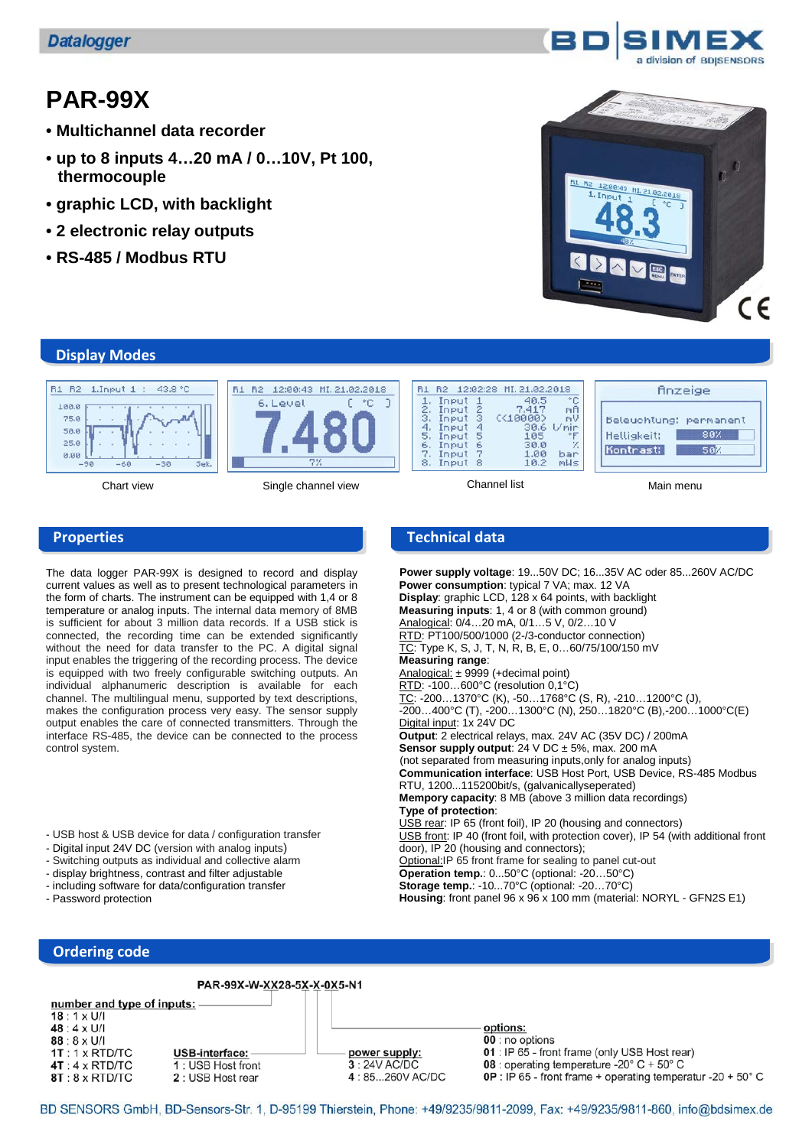# **PAR-99X**

- **Multichannel data recorder**
- **up to 8 inputs 4…20 mA / 0…10V, Pt 100, thermocouple**
- **graphic LCD, with backlight**
- **2 electronic relay outputs**
- **RS-485 / Modbus RTU**



# **Display Modes**



Chart view Single channel view Channel list Main menu

| Input |                                           | 40.5                                                     |                                                                 |
|-------|-------------------------------------------|----------------------------------------------------------|-----------------------------------------------------------------|
|       |                                           |                                                          | mU                                                              |
|       |                                           | 30.6                                                     | 1/mir                                                           |
| Input |                                           | 105                                                      |                                                                 |
|       |                                           |                                                          |                                                                 |
|       | 8                                         | 10.2                                                     | bar<br>mMs                                                      |
|       | Input<br>Input<br>Input<br>Input<br>Input | $\frac{2}{3}$<br>Input<br>$\frac{4}{5}$<br>$\frac{6}{7}$ | R2 12:02:28 MI.21.02.2018<br>7.417<br>C < 10000<br>30.0<br>1.00 |

| Beleuchtung: permanent |
|------------------------|
| 80%                    |
| 58%                    |
|                        |
|                        |

finzeige

The data logger PAR-99X is designed to record and display current values as well as to present technological parameters in the form of charts. The instrument can be equipped with 1,4 or 8 temperature or analog inputs. The internal data memory of 8MB is sufficient for about 3 million data records. If a USB stick is connected, the recording time can be extended significantly without the need for data transfer to the PC. A digital signal input enables the triggering of the recording process. The device is equipped with two freely configurable switching outputs. An individual alphanumeric description is available for each channel. The multilingual menu, supported by text descriptions, makes the configuration process very easy. The sensor supply output enables the care of connected transmitters. Through the interface RS-485, the device can be connected to the process control system.

- USB host & USB device for data / configuration transfer
- Digital input 24V DC (version with analog inputs)
- Switching outputs as individual and collective alarm
- display brightness, contrast and filter adjustable
- including software for data/configuration transfer
- Password protection

# **Properties Technical data**

 **Power supply voltage**: 19...50V DC; 16...35V AC oder 85...260V AC/DC **Power consumption**: typical 7 VA; max. 12 VA **Display**: graphic LCD, 128 x 64 points, with backlight **Measuring inputs**: 1, 4 or 8 (with common ground) Analogical: 0/4…20 mA, 0/1…5 V, 0/2…10 V RTD: PT100/500/1000 (2-/3-conductor connection) TC: Type K, S, J, T, N, R, B, E, 0...60/75/100/150 mV **Measuring range**: Analogical: ± 9999 (+decimal point) RTD: -100…600°C (resolution 0,1°C)  $\overline{TC}$ : -200...1370°C (K), -50...1768°C (S, R), -210...1200°C (J),  $-200...400^{\circ}$ C (T),  $-200...1300^{\circ}$ C (N),  $250...1820^{\circ}$ C (B),  $-200...1000^{\circ}$ C(E) Digital input: 1x 24V DC **Output**: 2 electrical relays, max. 24V AC (35V DC) / 200mA **Sensor supply output:**  $24 \text{ V DC} \pm 5\%$ , max. 200 mA (not separated from measuring inputs,only for analog inputs) **Communication interface**: USB Host Port, USB Device, RS-485 Modbus RTU, 1200...115200bit/s, (galvanicallyseperated) **Mempory capacity**: 8 MB (above 3 million data recordings) **Type of protection**: USB rear: IP 65 (front foil), IP 20 (housing and connectors) USB front: IP 40 (front foil, with protection cover), IP 54 (with additional front door), IP 20 (housing and connectors); Optional:IP 65 front frame for sealing to panel cut-out **Operation temp.**: 0...50°C (optional: -20…50°C) **Storage temp.**: -10...70°C (optional: -20…70°C) **Housing**: front panel 96 x 96 x 100 mm (material: NORYL - GFN2S E1)

#### **Ordering code**

PAR-99X-W-XX28-5X-X-0X5-N1

number and type of inputs:  $18:1 \times U/I$ 

 $48:4 \times U/I$  $88:8 \times U/I$  $1T:1 \times RTD/TC$  $4T:4 \times RTD/TC$ 8T: 8 x RTD/TC

USB-interface: 1: USB Host front 2: USB Host rear

power supply:  $3:24V$  AC/DC 4:85...260V AC/DC options: 00 : no options

01 : IP 65 - front frame (only USB Host rear)

08 : operating temperature -20° C + 50° C

**OP** : IP 65 - front frame + operating temperatur -20 + 50 $^{\circ}$  C

BD SENSORS GmbH, BD-Sensors-Str. 1, D-95199 Thierstein, Phone: +49/9235/9811-2099, Fax: +49/9235/9811-860, info@bdsimex.de